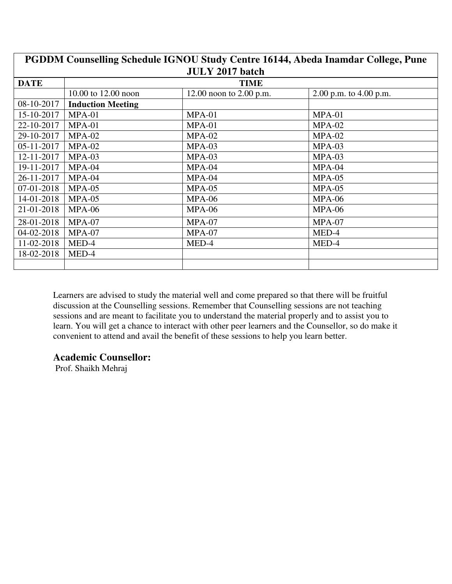| PGDDM Counselling Schedule IGNOU Study Centre 16144, Abeda Inamdar College, Pune |                          |                         |                          |  |
|----------------------------------------------------------------------------------|--------------------------|-------------------------|--------------------------|--|
|                                                                                  | <b>JULY 2017 batch</b>   |                         |                          |  |
| <b>DATE</b>                                                                      |                          | <b>TIME</b>             |                          |  |
|                                                                                  | 10.00 to 12.00 noon      | 12.00 noon to 2.00 p.m. | 2.00 p.m. to $4.00$ p.m. |  |
| 08-10-2017                                                                       | <b>Induction Meeting</b> |                         |                          |  |
| 15-10-2017                                                                       | $MPA-01$                 | $MPA-01$                | $MPA-01$                 |  |
| 22-10-2017                                                                       | $MPA-01$                 | $MPA-01$                | $MPA-02$                 |  |
| 29-10-2017                                                                       | $MPA-02$                 | $MPA-02$                | $MPA-02$                 |  |
| 05-11-2017                                                                       | $MPA-02$                 | $MPA-03$                | $MPA-03$                 |  |
| 12-11-2017                                                                       | $MPA-03$                 | $MPA-03$                | $MPA-03$                 |  |
| 19-11-2017                                                                       | $MPA-04$                 | MPA-04                  | $MPA-04$                 |  |
| 26-11-2017                                                                       | $MPA-04$                 | $MPA-04$                | $MPA-05$                 |  |
| 07-01-2018                                                                       | $MPA-05$                 | $MPA-05$                | $MPA-05$                 |  |
| 14-01-2018                                                                       | $MPA-05$                 | $MPA-06$                | $MPA-06$                 |  |
| 21-01-2018                                                                       | $MPA-06$                 | $MPA-06$                | $MPA-06$                 |  |
| 28-01-2018                                                                       | $MPA-07$                 | $MPA-07$                | $MPA-07$                 |  |
| 04-02-2018                                                                       | $MPA-07$                 | $MPA-07$                | MED-4                    |  |
| 11-02-2018                                                                       | MED-4                    | MED-4                   | MED-4                    |  |
| 18-02-2018                                                                       | MED-4                    |                         |                          |  |
|                                                                                  |                          |                         |                          |  |

#### **Academic Counsellor:**

Prof. Shaikh Mehraj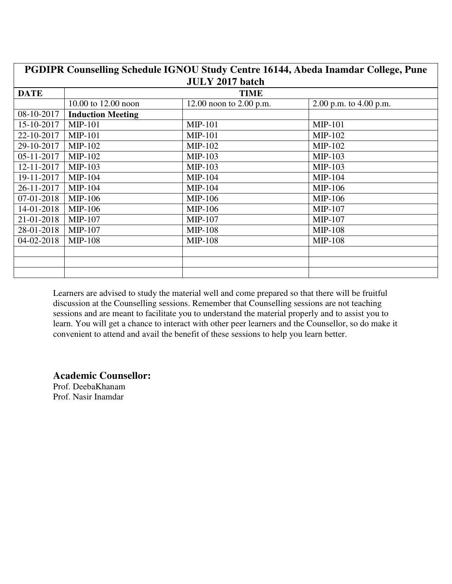| PGDIPR Counselling Schedule IGNOU Study Centre 16144, Abeda Inamdar College, Pune |                          |                           |                          |  |  |
|-----------------------------------------------------------------------------------|--------------------------|---------------------------|--------------------------|--|--|
|                                                                                   | <b>JULY 2017 batch</b>   |                           |                          |  |  |
| <b>DATE</b>                                                                       |                          | <b>TIME</b>               |                          |  |  |
|                                                                                   | 10.00 to 12.00 noon      | 12.00 noon to $2.00$ p.m. | 2.00 p.m. to $4.00$ p.m. |  |  |
| 08-10-2017                                                                        | <b>Induction Meeting</b> |                           |                          |  |  |
| 15-10-2017                                                                        | <b>MIP-101</b>           | <b>MIP-101</b>            | <b>MIP-101</b>           |  |  |
| 22-10-2017                                                                        | <b>MIP-101</b>           | <b>MIP-101</b>            | $MIP-102$                |  |  |
| 29-10-2017                                                                        | MIP-102                  | MIP-102                   | $MIP-102$                |  |  |
| 05-11-2017                                                                        | <b>MIP-102</b>           | MIP-103                   | $MIP-103$                |  |  |
| 12-11-2017                                                                        | $MIP-103$                | MIP-103                   | $MIP-103$                |  |  |
| 19-11-2017                                                                        | $MIP-104$                | $MIP-104$                 | $MIP-104$                |  |  |
| 26-11-2017                                                                        | MIP-104                  | $MIP-104$                 | MIP-106                  |  |  |
| 07-01-2018                                                                        | <b>MIP-106</b>           | <b>MIP-106</b>            | MIP-106                  |  |  |
| 14-01-2018                                                                        | MIP-106                  | MIP-106                   | MIP-107                  |  |  |
| 21-01-2018                                                                        | <b>MIP-107</b>           | MIP-107                   | $MIP-107$                |  |  |
| 28-01-2018                                                                        | <b>MIP-107</b>           | <b>MIP-108</b>            | $MIP-108$                |  |  |
| 04-02-2018                                                                        | <b>MIP-108</b>           | <b>MIP-108</b>            | <b>MIP-108</b>           |  |  |
|                                                                                   |                          |                           |                          |  |  |
|                                                                                   |                          |                           |                          |  |  |
|                                                                                   |                          |                           |                          |  |  |

**Academic Counsellor:** 

Prof. DeebaKhanam Prof. Nasir Inamdar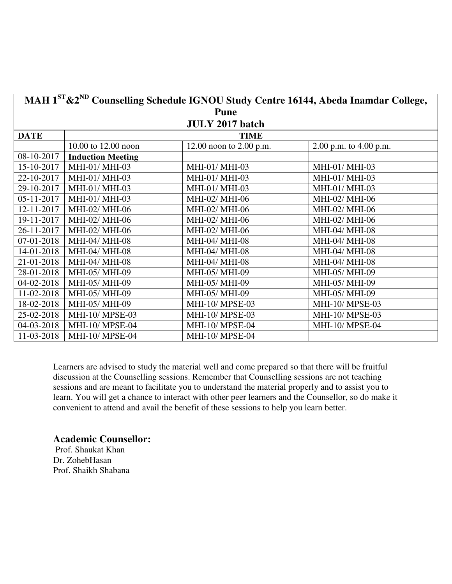| MAH 1ST & 2ND Counselling Schedule IGNOU Study Centre 16144, Abeda Inamdar College, |                          |                           |                          |
|-------------------------------------------------------------------------------------|--------------------------|---------------------------|--------------------------|
|                                                                                     |                          | <b>Pune</b>               |                          |
|                                                                                     |                          | <b>JULY 2017 batch</b>    |                          |
| <b>DATE</b>                                                                         |                          | <b>TIME</b>               |                          |
|                                                                                     | 10.00 to 12.00 noon      | 12.00 noon to $2.00$ p.m. | 2.00 p.m. to $4.00$ p.m. |
| 08-10-2017                                                                          | <b>Induction Meeting</b> |                           |                          |
| 15-10-2017                                                                          | MHI-01/ MHI-03           | MHI-01/ MHI-03            | MHI-01/ MHI-03           |
| 22-10-2017                                                                          | MHI-01/ MHI-03           | MHI-01/ MHI-03            | MHI-01/ MHI-03           |
| 29-10-2017                                                                          | MHI-01/ MHI-03           | MHI-01/ MHI-03            | MHI-01/ MHI-03           |
| 05-11-2017                                                                          | MHI-01/ MHI-03           | MHI-02/ MHI-06            | MHI-02/ MHI-06           |
| 12-11-2017                                                                          | MHI-02/ MHI-06           | MHI-02/ MHI-06            | MHI-02/ MHI-06           |
| 19-11-2017                                                                          | MHI-02/ MHI-06           | MHI-02/ MHI-06            | MHI-02/ MHI-06           |
| 26-11-2017                                                                          | MHI-02/ MHI-06           | MHI-02/ MHI-06            | <b>MHI-04/ MHI-08</b>    |
| 07-01-2018                                                                          | MHI-04/ MHI-08           | MHI-04/ MHI-08            | MHI-04/ MHI-08           |
| 14-01-2018                                                                          | MHI-04/ MHI-08           | MHI-04/ MHI-08            | MHI-04/ MHI-08           |
| 21-01-2018                                                                          | MHI-04/ MHI-08           | MHI-04/ MHI-08            | MHI-04/ MHI-08           |
| 28-01-2018                                                                          | MHI-05/ MHI-09           | MHI-05/ MHI-09            | MHI-05/ MHI-09           |
| 04-02-2018                                                                          | MHI-05/ MHI-09           | MHI-05/ MHI-09            | MHI-05/ MHI-09           |
| 11-02-2018                                                                          | MHI-05/ MHI-09           | MHI-05/ MHI-09            | MHI-05/ MHI-09           |
| 18-02-2018                                                                          | MHI-05/ MHI-09           | <b>MHI-10/ MPSE-03</b>    | <b>MHI-10/ MPSE-03</b>   |
| 25-02-2018                                                                          | MHI-10/ MPSE-03          | MHI-10/MPSE-03            | <b>MHI-10/ MPSE-03</b>   |
| 04-03-2018                                                                          | MHI-10/ MPSE-04          | MHI-10/ MPSE-04           | <b>MHI-10/ MPSE-04</b>   |
| 11-03-2018                                                                          | <b>MHI-10/ MPSE-04</b>   | MHI-10/ MPSE-04           |                          |

### **Academic Counsellor:**

 Prof. Shaukat Khan Dr. ZohebHasan Prof. Shaikh Shabana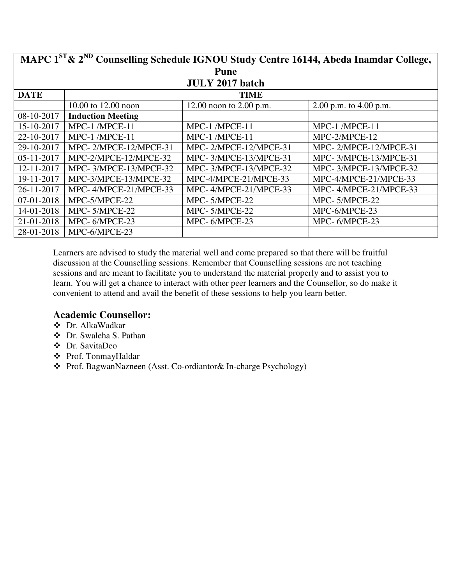| MAPC 1 <sup>ST</sup> & 2 <sup>ND</sup> Counselling Schedule IGNOU Study Centre 16144, Abeda Inamdar College, |                          |                           |                          |
|--------------------------------------------------------------------------------------------------------------|--------------------------|---------------------------|--------------------------|
|                                                                                                              |                          | <b>Pune</b>               |                          |
|                                                                                                              |                          | <b>JULY 2017 batch</b>    |                          |
| <b>DATE</b>                                                                                                  |                          | <b>TIME</b>               |                          |
|                                                                                                              | 10.00 to 12.00 noon      | 12.00 noon to $2.00$ p.m. | 2.00 p.m. to $4.00$ p.m. |
| 08-10-2017                                                                                                   | <b>Induction Meeting</b> |                           |                          |
| 15-10-2017                                                                                                   | MPC-1 /MPCE-11           | MPC-1 /MPCE-11            | MPC-1/MPCE-11            |
| 22-10-2017                                                                                                   | MPC-1 /MPCE-11           | MPC-1/MPCE-11             | MPC-2/MPCE-12            |
| 29-10-2017                                                                                                   | MPC-2/MPCE-12/MPCE-31    | MPC-2/MPCE-12/MPCE-31     | MPC-2/MPCE-12/MPCE-31    |
| 05-11-2017                                                                                                   | MPC-2/MPCE-12/MPCE-32    | MPC-3/MPCE-13/MPCE-31     | MPC-3/MPCE-13/MPCE-31    |
| 12-11-2017                                                                                                   | MPC-3/MPCE-13/MPCE-32    | MPC-3/MPCE-13/MPCE-32     | MPC-3/MPCE-13/MPCE-32    |
| 19-11-2017                                                                                                   | MPC-3/MPCE-13/MPCE-32    | MPC-4/MPCE-21/MPCE-33     | MPC-4/MPCE-21/MPCE-33    |
| 26-11-2017                                                                                                   | MPC-4/MPCE-21/MPCE-33    | MPC-4/MPCE-21/MPCE-33     | MPC-4/MPCE-21/MPCE-33    |
| 07-01-2018                                                                                                   | MPC-5/MPCE-22            | MPC-5/MPCE-22             | MPC-5/MPCE-22            |
| 14-01-2018                                                                                                   | MPC-5/MPCE-22            | MPC-5/MPCE-22             | MPC-6/MPCE-23            |
| 21-01-2018                                                                                                   | MPC-6/MPCE-23            | MPC-6/MPCE-23             | MPC-6/MPCE-23            |
| 28-01-2018                                                                                                   | MPC-6/MPCE-23            |                           |                          |

- Dr. AlkaWadkar
- Dr. Swaleha S. Pathan
- Dr. SavitaDeo
- Prof. TonmayHaldar
- Prof. BagwanNazneen (Asst. Co-ordiantor& In-charge Psychology)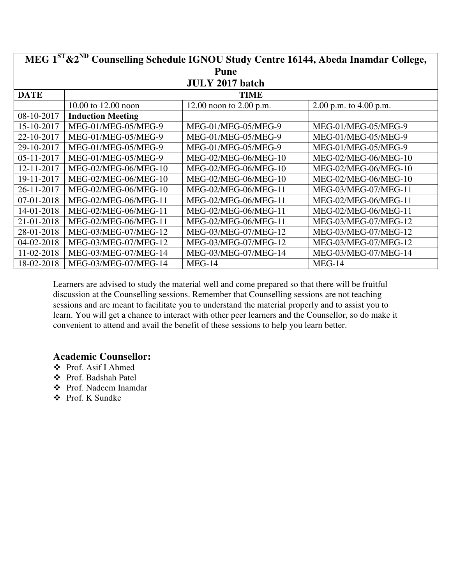| MEG 1 <sup>ST</sup> & 2 <sup>ND</sup> Counselling Schedule IGNOU Study Centre 16144, Abeda Inamdar College, |                          |                           |                          |  |  |
|-------------------------------------------------------------------------------------------------------------|--------------------------|---------------------------|--------------------------|--|--|
|                                                                                                             | Pune                     |                           |                          |  |  |
|                                                                                                             |                          | <b>JULY 2017 batch</b>    |                          |  |  |
| <b>DATE</b>                                                                                                 |                          | TIME                      |                          |  |  |
|                                                                                                             | 10.00 to 12.00 noon      | 12.00 noon to $2.00$ p.m. | 2.00 p.m. to $4.00$ p.m. |  |  |
| 08-10-2017                                                                                                  | <b>Induction Meeting</b> |                           |                          |  |  |
| 15-10-2017                                                                                                  | MEG-01/MEG-05/MEG-9      | MEG-01/MEG-05/MEG-9       | MEG-01/MEG-05/MEG-9      |  |  |
| 22-10-2017                                                                                                  | MEG-01/MEG-05/MEG-9      | MEG-01/MEG-05/MEG-9       | MEG-01/MEG-05/MEG-9      |  |  |
| 29-10-2017                                                                                                  | MEG-01/MEG-05/MEG-9      | MEG-01/MEG-05/MEG-9       | MEG-01/MEG-05/MEG-9      |  |  |
| 05-11-2017                                                                                                  | MEG-01/MEG-05/MEG-9      | MEG-02/MEG-06/MEG-10      | MEG-02/MEG-06/MEG-10     |  |  |
| 12-11-2017                                                                                                  | MEG-02/MEG-06/MEG-10     | MEG-02/MEG-06/MEG-10      | MEG-02/MEG-06/MEG-10     |  |  |
| 19-11-2017                                                                                                  | MEG-02/MEG-06/MEG-10     | MEG-02/MEG-06/MEG-10      | MEG-02/MEG-06/MEG-10     |  |  |
| 26-11-2017                                                                                                  | MEG-02/MEG-06/MEG-10     | MEG-02/MEG-06/MEG-11      | MEG-03/MEG-07/MEG-11     |  |  |
| 07-01-2018                                                                                                  | MEG-02/MEG-06/MEG-11     | MEG-02/MEG-06/MEG-11      | MEG-02/MEG-06/MEG-11     |  |  |
| 14-01-2018                                                                                                  | MEG-02/MEG-06/MEG-11     | MEG-02/MEG-06/MEG-11      | MEG-02/MEG-06/MEG-11     |  |  |
| 21-01-2018                                                                                                  | MEG-02/MEG-06/MEG-11     | MEG-02/MEG-06/MEG-11      | MEG-03/MEG-07/MEG-12     |  |  |
| 28-01-2018                                                                                                  | MEG-03/MEG-07/MEG-12     | MEG-03/MEG-07/MEG-12      | MEG-03/MEG-07/MEG-12     |  |  |
| 04-02-2018                                                                                                  | MEG-03/MEG-07/MEG-12     | MEG-03/MEG-07/MEG-12      | MEG-03/MEG-07/MEG-12     |  |  |
| 11-02-2018                                                                                                  | MEG-03/MEG-07/MEG-14     | MEG-03/MEG-07/MEG-14      | MEG-03/MEG-07/MEG-14     |  |  |
| 18-02-2018                                                                                                  | MEG-03/MEG-07/MEG-14     | $MEG-14$                  | $MEG-14$                 |  |  |

- Prof. Asif I Ahmed
- Prof. Badshah Patel
- Prof. Nadeem Inamdar
- Prof. K Sundke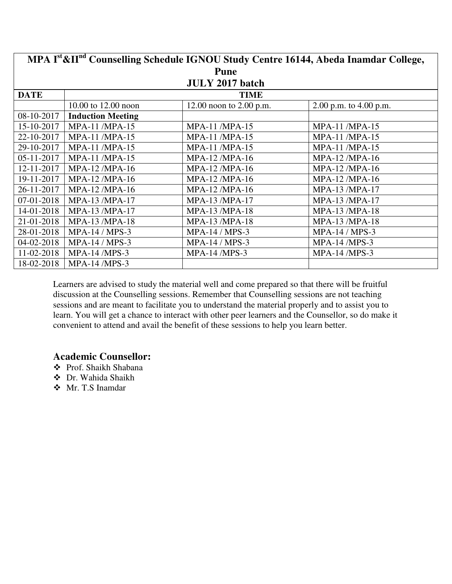| MPA Ist & II <sup>nd</sup> Counselling Schedule IGNOU Study Centre 16144, Abeda Inamdar College, |                          |                           |                        |  |  |
|--------------------------------------------------------------------------------------------------|--------------------------|---------------------------|------------------------|--|--|
|                                                                                                  | <b>Pune</b>              |                           |                        |  |  |
|                                                                                                  |                          | <b>JULY 2017 batch</b>    |                        |  |  |
| <b>DATE</b>                                                                                      |                          | <b>TIME</b>               |                        |  |  |
|                                                                                                  | 10.00 to 12.00 noon      | 12.00 noon to $2.00$ p.m. | 2.00 p.m. to 4.00 p.m. |  |  |
| 08-10-2017                                                                                       | <b>Induction Meeting</b> |                           |                        |  |  |
| 15-10-2017                                                                                       | <b>MPA-11 /MPA-15</b>    | <b>MPA-11 /MPA-15</b>     | <b>MPA-11 /MPA-15</b>  |  |  |
| 22-10-2017                                                                                       | <b>MPA-11 /MPA-15</b>    | <b>MPA-11 /MPA-15</b>     | <b>MPA-11 /MPA-15</b>  |  |  |
| 29-10-2017                                                                                       | <b>MPA-11 /MPA-15</b>    | <b>MPA-11 /MPA-15</b>     | <b>MPA-11 /MPA-15</b>  |  |  |
| 05-11-2017                                                                                       | <b>MPA-11/MPA-15</b>     | <b>MPA-12/MPA-16</b>      | <b>MPA-12/MPA-16</b>   |  |  |
| 12-11-2017                                                                                       | <b>MPA-12/MPA-16</b>     | <b>MPA-12/MPA-16</b>      | <b>MPA-12/MPA-16</b>   |  |  |
| 19-11-2017                                                                                       | <b>MPA-12/MPA-16</b>     | <b>MPA-12/MPA-16</b>      | MPA-12 /MPA-16         |  |  |
| 26-11-2017                                                                                       | <b>MPA-12/MPA-16</b>     | <b>MPA-12/MPA-16</b>      | MPA-13 /MPA-17         |  |  |
| 07-01-2018                                                                                       | MPA-13 /MPA-17           | <b>MPA-13/MPA-17</b>      | MPA-13 /MPA-17         |  |  |
| 14-01-2018                                                                                       | MPA-13 /MPA-17           | <b>MPA-13/MPA-18</b>      | MPA-13 /MPA-18         |  |  |
| 21-01-2018                                                                                       | <b>MPA-13/MPA-18</b>     | MPA-13 /MPA-18            | MPA-13 /MPA-18         |  |  |
| 28-01-2018                                                                                       | MPA-14 / MPS-3           | MPA-14 / MPS-3            | MPA-14 / MPS-3         |  |  |
| 04-02-2018                                                                                       | $MPA-14/MPS-3$           | <b>MPA-14 / MPS-3</b>     | <b>MPA-14/MPS-3</b>    |  |  |
| 11-02-2018                                                                                       | <b>MPA-14 /MPS-3</b>     | <b>MPA-14/MPS-3</b>       | <b>MPA-14/MPS-3</b>    |  |  |
| 18-02-2018                                                                                       | <b>MPA-14 /MPS-3</b>     |                           |                        |  |  |

- Prof. Shaikh Shabana
- Dr. Wahida Shaikh
- Mr. T.S Inamdar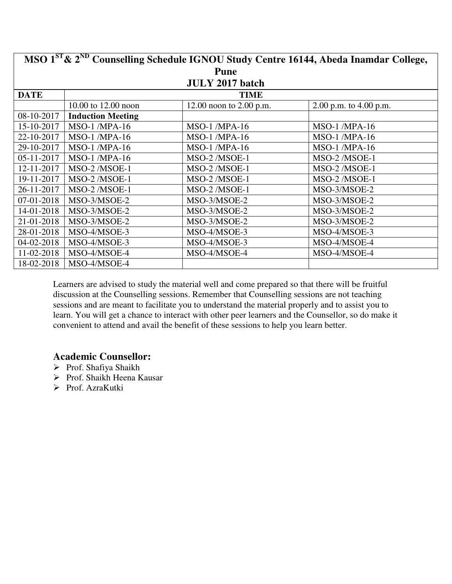| MSO 1 <sup>ST</sup> & 2 <sup>ND</sup> Counselling Schedule IGNOU Study Centre 16144, Abeda Inamdar College, |                          |                           |                          |  |  |
|-------------------------------------------------------------------------------------------------------------|--------------------------|---------------------------|--------------------------|--|--|
|                                                                                                             | <b>Pune</b>              |                           |                          |  |  |
|                                                                                                             |                          | <b>JULY 2017 batch</b>    |                          |  |  |
| <b>DATE</b>                                                                                                 |                          | <b>TIME</b>               |                          |  |  |
|                                                                                                             | 10.00 to 12.00 noon      | 12.00 noon to $2.00$ p.m. | 2.00 p.m. to $4.00$ p.m. |  |  |
| 08-10-2017                                                                                                  | <b>Induction Meeting</b> |                           |                          |  |  |
| 15-10-2017                                                                                                  | $MSO-1$ /MPA-16          | <b>MSO-1/MPA-16</b>       | $MSO-1$ /MPA-16          |  |  |
| 22-10-2017                                                                                                  | $MSO-1$ /MPA-16          | <b>MSO-1/MPA-16</b>       | <b>MSO-1/MPA-16</b>      |  |  |
| 29-10-2017                                                                                                  | $MSO-1$ /MPA-16          | <b>MSO-1/MPA-16</b>       | <b>MSO-1/MPA-16</b>      |  |  |
| 05-11-2017                                                                                                  | $MSO-1$ /MPA-16          | MSO-2/MSOE-1              | MSO-2 /MSOE-1            |  |  |
| 12-11-2017                                                                                                  | MSO-2 /MSOE-1            | MSO-2/MSOE-1              | MSO-2/MSOE-1             |  |  |
| 19-11-2017                                                                                                  | MSO-2 /MSOE-1            | MSO-2/MSOE-1              | MSO-2 /MSOE-1            |  |  |
| 26-11-2017                                                                                                  | MSO-2 /MSOE-1            | MSO-2/MSOE-1              | MSO-3/MSOE-2             |  |  |
| 07-01-2018                                                                                                  | MSO-3/MSOE-2             | MSO-3/MSOE-2              | MSO-3/MSOE-2             |  |  |
| 14-01-2018                                                                                                  | MSO-3/MSOE-2             | MSO-3/MSOE-2              | MSO-3/MSOE-2             |  |  |
| 21-01-2018                                                                                                  | MSO-3/MSOE-2             | MSO-3/MSOE-2              | MSO-3/MSOE-2             |  |  |
| 28-01-2018                                                                                                  | MSO-4/MSOE-3             | MSO-4/MSOE-3              | MSO-4/MSOE-3             |  |  |
| 04-02-2018                                                                                                  | MSO-4/MSOE-3             | MSO-4/MSOE-3              | MSO-4/MSOE-4             |  |  |
| 11-02-2018                                                                                                  | MSO-4/MSOE-4             | MSO-4/MSOE-4              | MSO-4/MSOE-4             |  |  |
| 18-02-2018                                                                                                  | MSO-4/MSOE-4             |                           |                          |  |  |

- Prof. Shafiya Shaikh
- Prof. Shaikh Heena Kausar
- > Prof. AzraKutki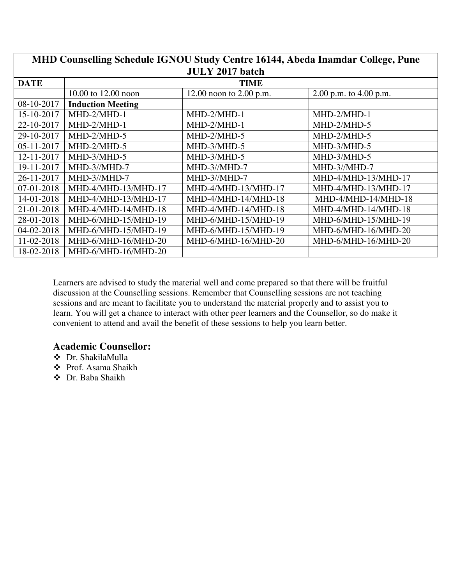| MHD Counselling Schedule IGNOU Study Centre 16144, Abeda Inamdar College, Pune |                          |                           |                          |  |  |
|--------------------------------------------------------------------------------|--------------------------|---------------------------|--------------------------|--|--|
|                                                                                | <b>JULY 2017 batch</b>   |                           |                          |  |  |
| <b>DATE</b>                                                                    |                          | <b>TIME</b>               |                          |  |  |
|                                                                                | 10.00 to 12.00 noon      | 12.00 noon to $2.00$ p.m. | 2.00 p.m. to $4.00$ p.m. |  |  |
| 08-10-2017                                                                     | <b>Induction Meeting</b> |                           |                          |  |  |
| 15-10-2017                                                                     | MHD-2/MHD-1              | MHD-2/MHD-1               | MHD-2/MHD-1              |  |  |
| 22-10-2017                                                                     | MHD-2/MHD-1              | MHD-2/MHD-1               | MHD-2/MHD-5              |  |  |
| 29-10-2017                                                                     | MHD-2/MHD-5              | MHD-2/MHD-5               | MHD-2/MHD-5              |  |  |
| $05 - 11 - 2017$                                                               | MHD-2/MHD-5              | MHD-3/MHD-5               | MHD-3/MHD-5              |  |  |
| 12-11-2017                                                                     | MHD-3/MHD-5              | MHD-3/MHD-5               | MHD-3/MHD-5              |  |  |
| 19-11-2017                                                                     | MHD-3//MHD-7             | MHD-3//MHD-7              | MHD-3//MHD-7             |  |  |
| 26-11-2017                                                                     | MHD-3//MHD-7             | MHD-3//MHD-7              | MHD-4/MHD-13/MHD-17      |  |  |
| 07-01-2018                                                                     | MHD-4/MHD-13/MHD-17      | MHD-4/MHD-13/MHD-17       | MHD-4/MHD-13/MHD-17      |  |  |
| 14-01-2018                                                                     | MHD-4/MHD-13/MHD-17      | MHD-4/MHD-14/MHD-18       | MHD-4/MHD-14/MHD-18      |  |  |
| 21-01-2018                                                                     | MHD-4/MHD-14/MHD-18      | MHD-4/MHD-14/MHD-18       | MHD-4/MHD-14/MHD-18      |  |  |
| 28-01-2018                                                                     | MHD-6/MHD-15/MHD-19      | MHD-6/MHD-15/MHD-19       | MHD-6/MHD-15/MHD-19      |  |  |
| 04-02-2018                                                                     | MHD-6/MHD-15/MHD-19      | MHD-6/MHD-15/MHD-19       | MHD-6/MHD-16/MHD-20      |  |  |
| 11-02-2018                                                                     | MHD-6/MHD-16/MHD-20      | MHD-6/MHD-16/MHD-20       | MHD-6/MHD-16/MHD-20      |  |  |
| 18-02-2018                                                                     | MHD-6/MHD-16/MHD-20      |                           |                          |  |  |

- Dr. ShakilaMulla
- Prof. Asama Shaikh
- Dr. Baba Shaikh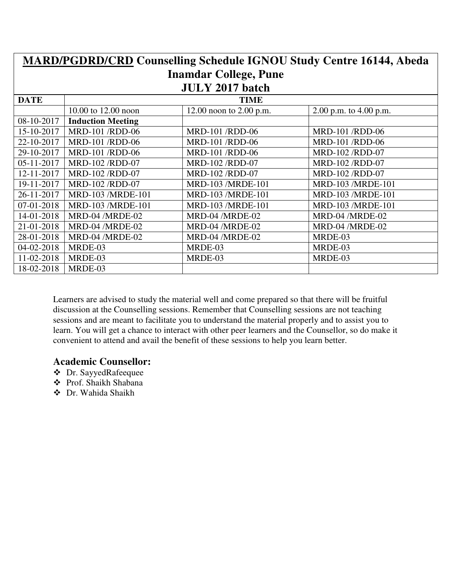| <b>MARD/PGDRD/CRD Counselling Schedule IGNOU Study Centre 16144, Abeda</b> |                          |                              |                          |  |
|----------------------------------------------------------------------------|--------------------------|------------------------------|--------------------------|--|
|                                                                            |                          | <b>Inamdar College, Pune</b> |                          |  |
|                                                                            |                          | <b>JULY 2017 batch</b>       |                          |  |
| <b>DATE</b>                                                                |                          | <b>TIME</b>                  |                          |  |
|                                                                            | 10.00 to 12.00 noon      | 12.00 noon to $2.00$ p.m.    | 2.00 p.m. to $4.00$ p.m. |  |
| 08-10-2017                                                                 | <b>Induction Meeting</b> |                              |                          |  |
| 15-10-2017                                                                 | <b>MRD-101 /RDD-06</b>   | <b>MRD-101 /RDD-06</b>       | <b>MRD-101 /RDD-06</b>   |  |
| 22-10-2017                                                                 | <b>MRD-101 /RDD-06</b>   | <b>MRD-101 /RDD-06</b>       | <b>MRD-101 /RDD-06</b>   |  |
| 29-10-2017                                                                 | MRD-101 /RDD-06          | <b>MRD-101 /RDD-06</b>       | MRD-102 /RDD-07          |  |
| 05-11-2017                                                                 | MRD-102 /RDD-07          | MRD-102 /RDD-07              | MRD-102 /RDD-07          |  |
| 12-11-2017                                                                 | MRD-102 /RDD-07          | MRD-102 /RDD-07              | MRD-102 /RDD-07          |  |
| 19-11-2017                                                                 | MRD-102 /RDD-07          | <b>MRD-103 /MRDE-101</b>     | MRD-103 /MRDE-101        |  |
| 26-11-2017                                                                 | MRD-103 /MRDE-101        | MRD-103 /MRDE-101            | MRD-103 /MRDE-101        |  |
| 07-01-2018                                                                 | MRD-103 /MRDE-101        | MRD-103 /MRDE-101            | MRD-103 /MRDE-101        |  |
| 14-01-2018                                                                 | MRD-04 /MRDE-02          | MRD-04 /MRDE-02              | MRD-04 /MRDE-02          |  |
| 21-01-2018                                                                 | MRD-04 /MRDE-02          | MRD-04 /MRDE-02              | MRD-04 /MRDE-02          |  |
| 28-01-2018                                                                 | MRD-04 /MRDE-02          | MRD-04 /MRDE-02              | MRDE-03                  |  |
| 04-02-2018                                                                 | MRDE-03                  | MRDE-03                      | MRDE-03                  |  |
| 11-02-2018                                                                 | MRDE-03                  | MRDE-03                      | MRDE-03                  |  |
| 18-02-2018                                                                 | MRDE-03                  |                              |                          |  |

- Dr. SayyedRafeequee
- Prof. Shaikh Shabana
- Dr. Wahida Shaikh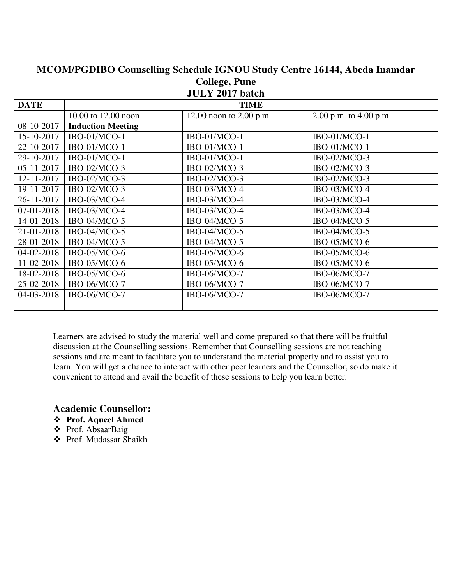| MCOM/PGDIBO Counselling Schedule IGNOU Study Centre 16144, Abeda Inamdar |                          |                         |                          |  |
|--------------------------------------------------------------------------|--------------------------|-------------------------|--------------------------|--|
|                                                                          | <b>College, Pune</b>     |                         |                          |  |
|                                                                          |                          | <b>JULY 2017 batch</b>  |                          |  |
| <b>DATE</b>                                                              |                          | <b>TIME</b>             |                          |  |
|                                                                          | 10.00 to 12.00 noon      | 12.00 noon to 2.00 p.m. | 2.00 p.m. to $4.00$ p.m. |  |
| 08-10-2017                                                               | <b>Induction Meeting</b> |                         |                          |  |
| 15-10-2017                                                               | IBO-01/MCO-1             | IBO-01/MCO-1            | IBO-01/MCO-1             |  |
| 22-10-2017                                                               | IBO-01/MCO-1             | IBO-01/MCO-1            | IBO-01/MCO-1             |  |
| 29-10-2017                                                               | IBO-01/MCO-1             | IBO-01/MCO-1            | IBO-02/MCO-3             |  |
| 05-11-2017                                                               | IBO-02/MCO-3             | IBO-02/MCO-3            | IBO-02/MCO-3             |  |
| 12-11-2017                                                               | IBO-02/MCO-3             | IBO-02/MCO-3            | IBO-02/MCO-3             |  |
| 19-11-2017                                                               | IBO-02/MCO-3             | IBO-03/MCO-4            | IBO-03/MCO-4             |  |
| 26-11-2017                                                               | IBO-03/MCO-4             | IBO-03/MCO-4            | IBO-03/MCO-4             |  |
| 07-01-2018                                                               | IBO-03/MCO-4             | IBO-03/MCO-4            | IBO-03/MCO-4             |  |
| 14-01-2018                                                               | IBO-04/MCO-5             | IBO-04/MCO-5            | IBO-04/MCO-5             |  |
| 21-01-2018                                                               | IBO-04/MCO-5             | IBO-04/MCO-5            | IBO-04/MCO-5             |  |
| 28-01-2018                                                               | IBO-04/MCO-5             | IBO-04/MCO-5            | IBO-05/MCO-6             |  |
| 04-02-2018                                                               | IBO-05/MCO-6             | IBO-05/MCO-6            | IBO-05/MCO-6             |  |
| 11-02-2018                                                               | IBO-05/MCO-6             | IBO-05/MCO-6            | IBO-05/MCO-6             |  |
| 18-02-2018                                                               | IBO-05/MCO-6             | IBO-06/MCO-7            | IBO-06/MCO-7             |  |
| 25-02-2018                                                               | IBO-06/MCO-7             | IBO-06/MCO-7            | IBO-06/MCO-7             |  |
| 04-03-2018                                                               | IBO-06/MCO-7             | IBO-06/MCO-7            | IBO-06/MCO-7             |  |
|                                                                          |                          |                         |                          |  |

- **Prof. Aqueel Ahmed**
- Prof. AbsaarBaig
- Prof. Mudassar Shaikh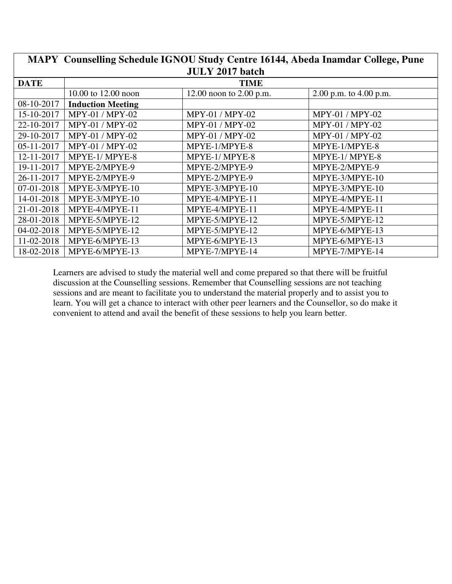|                        | MAPY Counselling Schedule IGNOU Study Centre 16144, Abeda Inamdar College, Pune |                           |                          |  |
|------------------------|---------------------------------------------------------------------------------|---------------------------|--------------------------|--|
| <b>JULY 2017 batch</b> |                                                                                 |                           |                          |  |
| <b>DATE</b>            |                                                                                 | <b>TIME</b>               |                          |  |
|                        | 10.00 to 12.00 noon                                                             | 12.00 noon to $2.00$ p.m. | 2.00 p.m. to $4.00$ p.m. |  |
| 08-10-2017             | <b>Induction Meeting</b>                                                        |                           |                          |  |
| 15-10-2017             | MPY-01 / MPY-02                                                                 | MPY-01 / MPY-02           | MPY-01 / MPY-02          |  |
| 22-10-2017             | MPY-01 / MPY-02                                                                 | <b>MPY-01 / MPY-02</b>    | <b>MPY-01 / MPY-02</b>   |  |
| 29-10-2017             | MPY-01 / MPY-02                                                                 | MPY-01 / MPY-02           | MPY-01 / MPY-02          |  |
| $05 - 11 - 2017$       | MPY-01 / MPY-02                                                                 | MPYE-1/MPYE-8             | MPYE-1/MPYE-8            |  |
| 12-11-2017             | MPYE-1/MPYE-8                                                                   | MPYE-1/MPYE-8             | MPYE-1/MPYE-8            |  |
| 19-11-2017             | MPYE-2/MPYE-9                                                                   | MPYE-2/MPYE-9             | MPYE-2/MPYE-9            |  |
| 26-11-2017             | MPYE-2/MPYE-9                                                                   | MPYE-2/MPYE-9             | MPYE-3/MPYE-10           |  |
| 07-01-2018             | MPYE-3/MPYE-10                                                                  | MPYE-3/MPYE-10            | MPYE-3/MPYE-10           |  |
| 14-01-2018             | MPYE-3/MPYE-10                                                                  | MPYE-4/MPYE-11            | MPYE-4/MPYE-11           |  |
| 21-01-2018             | MPYE-4/MPYE-11                                                                  | MPYE-4/MPYE-11            | MPYE-4/MPYE-11           |  |
| 28-01-2018             | MPYE-5/MPYE-12                                                                  | MPYE-5/MPYE-12            | MPYE-5/MPYE-12           |  |
| 04-02-2018             | MPYE-5/MPYE-12                                                                  | MPYE-5/MPYE-12            | MPYE-6/MPYE-13           |  |
| 11-02-2018             | MPYE-6/MPYE-13                                                                  | MPYE-6/MPYE-13            | MPYE-6/MPYE-13           |  |
| 18-02-2018             | MPYE-6/MPYE-13                                                                  | MPYE-7/MPYE-14            | MPYE-7/MPYE-14           |  |